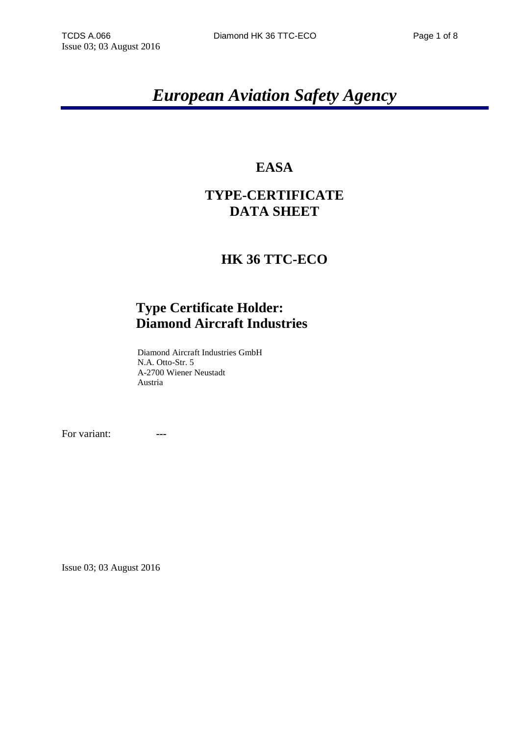# *European Aviation Safety Agency*

# **EASA**

# **TYPE-CERTIFICATE DATA SHEET**

## **HK 36 TTC-ECO**

## **Type Certificate Holder: Diamond Aircraft Industries**

Diamond Aircraft Industries GmbH N.A. Otto-Str. 5 A-2700 Wiener Neustadt Austria

For variant: **---**

Issue 03; 03 August 2016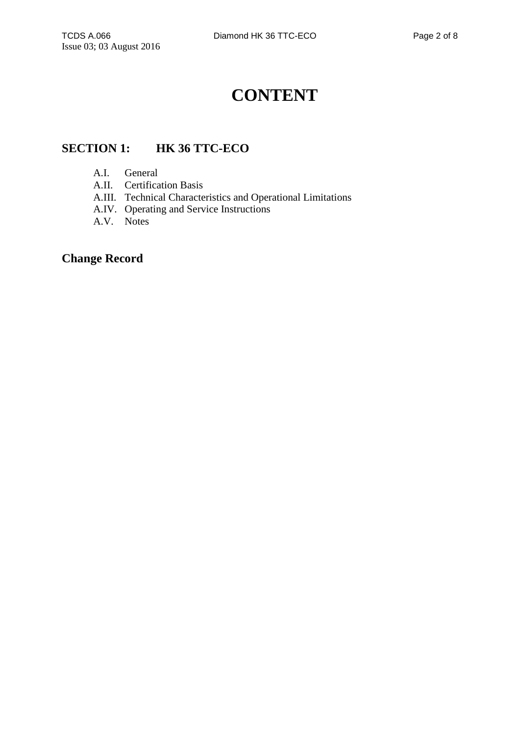# **CONTENT**

### **SECTION 1: HK 36 TTC-ECO**

- A.I. General
- A.II. Certification Basis
- A.III. Technical Characteristics and Operational Limitations
- A.IV. Operating and Service Instructions
- A.V. Notes

### **Change Record**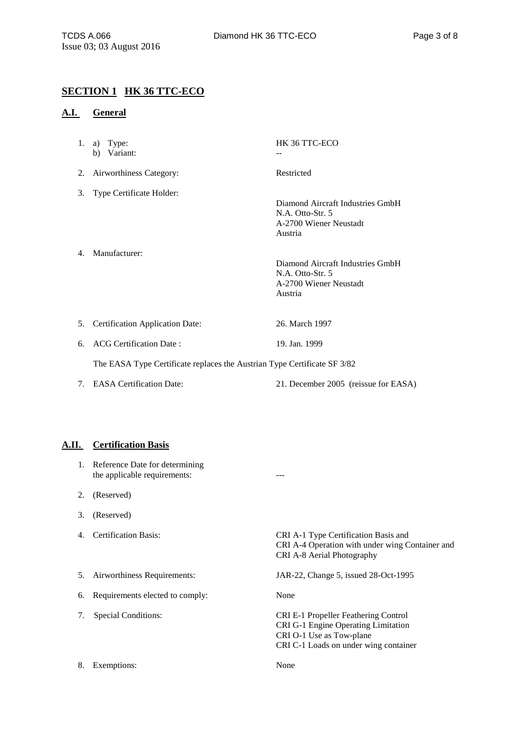#### **SECTION 1 HK 36 TTC-ECO**

3. Type Certificate Holder:

4. Manufacturer:

#### **A.I. General**

- 1. a) Type: HK 36 TTC-ECO b) Variant:
- 2. Airworthiness Category: Restricted

Diamond Aircraft Industries GmbH N.A. Otto-Str. 5 A-2700 Wiener Neustadt Austria

Diamond Aircraft Industries GmbH N.A. Otto-Str. 5 A-2700 Wiener Neustadt Austria

- 5. Certification Application Date: 26. March 1997
- 6. ACG Certification Date : 19. Jan. 1999

The EASA Type Certificate replaces the Austrian Type Certificate SF 3/82

7. EASA Certification Date: 21. December 2005 (reissue for EASA)

#### **A.II. Certification Basis**

- 1. Reference Date for determining the applicable requirements: ---
- 2. (Reserved)
- 3. (Reserved)
- 

4. Certification Basis: CRI A-1 Type Certification Basis and CRI A-4 Operation with under wing Container and CRI A-8 Aerial Photography

5. Airworthiness Requirements: JAR-22, Change 5, issued 28-Oct-1995

CRI G-1 Engine Operating Limitation

CRI C-1 Loads on under wing container

CRI O-1 Use as Tow-plane

6. Requirements elected to comply: None

7. Special Conditions: CRI E-1 Propeller Feathering Control

8. Exemptions: None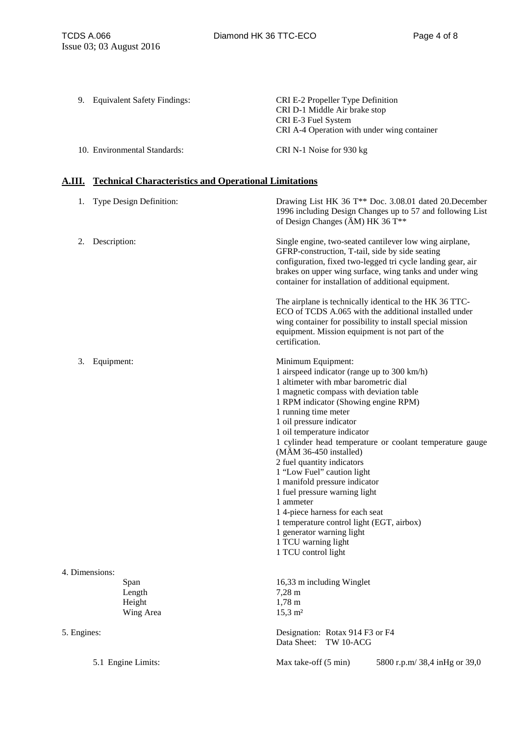9. Equivalent Safety Findings: CRI E-2 Propeller Type Definition CRI D-1 Middle Air brake stop CRI E-3 Fuel System CRI A-4 Operation with under wing container 10. Environmental Standards: CRI N-1 Noise for 930 kg

#### **A.III. Technical Characteristics and Operational Limitations**

| Type Design Definition:<br>1.         | Drawing List HK 36 T** Doc. 3.08.01 dated 20. December<br>1996 including Design Changes up to 57 and following List<br>of Design Changes ( $\text{\AA}$ M) HK 36 T <sup>**</sup>                                                                                                                                                                                                                                                                                                                                                                                                                                                                                              |
|---------------------------------------|-------------------------------------------------------------------------------------------------------------------------------------------------------------------------------------------------------------------------------------------------------------------------------------------------------------------------------------------------------------------------------------------------------------------------------------------------------------------------------------------------------------------------------------------------------------------------------------------------------------------------------------------------------------------------------|
| Description:<br>2.                    | Single engine, two-seated cantilever low wing airplane,<br>GFRP-construction, T-tail, side by side seating<br>configuration, fixed two-legged tri cycle landing gear, air<br>brakes on upper wing surface, wing tanks and under wing<br>container for installation of additional equipment.                                                                                                                                                                                                                                                                                                                                                                                   |
|                                       | The airplane is technically identical to the HK 36 TTC-<br>ECO of TCDS A.065 with the additional installed under<br>wing container for possibility to install special mission<br>equipment. Mission equipment is not part of the<br>certification.                                                                                                                                                                                                                                                                                                                                                                                                                            |
| 3.<br>Equipment:                      | Minimum Equipment:<br>1 airspeed indicator (range up to 300 km/h)<br>1 altimeter with mbar barometric dial<br>1 magnetic compass with deviation table<br>1 RPM indicator (Showing engine RPM)<br>1 running time meter<br>1 oil pressure indicator<br>1 oil temperature indicator<br>1 cylinder head temperature or coolant temperature gauge<br>$(MAM 36-450$ installed)<br>2 fuel quantity indicators<br>1 "Low Fuel" caution light<br>1 manifold pressure indicator<br>1 fuel pressure warning light<br>1 ammeter<br>14-piece harness for each seat<br>1 temperature control light (EGT, airbox)<br>1 generator warning light<br>1 TCU warning light<br>1 TCU control light |
| 4. Dimensions:                        |                                                                                                                                                                                                                                                                                                                                                                                                                                                                                                                                                                                                                                                                               |
| Span<br>Length<br>Height<br>Wing Area | 16,33 m including Winglet<br>$7,28 \; \text{m}$<br>$1,78 \; \mathrm{m}$<br>$15,3 \; \mathrm{m}^2$                                                                                                                                                                                                                                                                                                                                                                                                                                                                                                                                                                             |
| 5. Engines:                           | Designation: Rotax 914 F3 or F4<br>Data Sheet:<br>TW 10-ACG                                                                                                                                                                                                                                                                                                                                                                                                                                                                                                                                                                                                                   |
| 5.1 Engine Limits:                    | Max take-off (5 min)<br>5800 r.p.m/ 38,4 inHg or 39,0                                                                                                                                                                                                                                                                                                                                                                                                                                                                                                                                                                                                                         |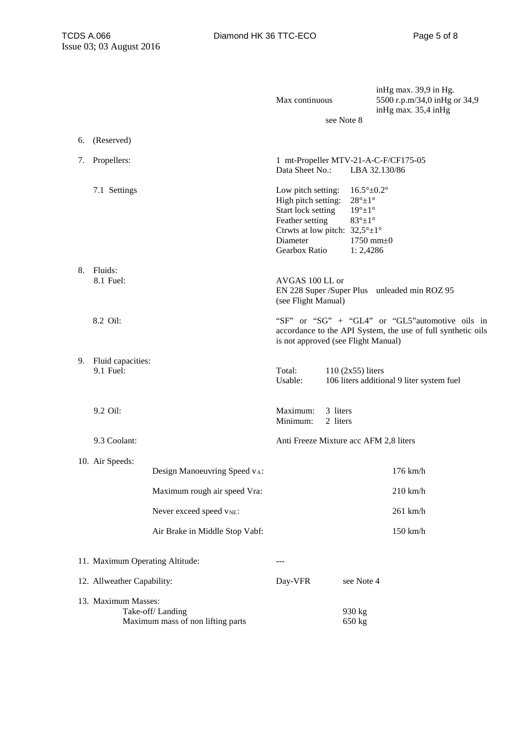|                                                                              |                                |                                | Max continuous                                                                                                                                                       |                                                                                                                    | inHg max. 39,9 in Hg.<br>5500 r.p.m/34,0 inHg or 34,9<br>in Hg max. $35,4$ in Hg                                |
|------------------------------------------------------------------------------|--------------------------------|--------------------------------|----------------------------------------------------------------------------------------------------------------------------------------------------------------------|--------------------------------------------------------------------------------------------------------------------|-----------------------------------------------------------------------------------------------------------------|
|                                                                              |                                |                                |                                                                                                                                                                      | see Note 8                                                                                                         |                                                                                                                 |
| 6.                                                                           | (Reserved)                     |                                |                                                                                                                                                                      |                                                                                                                    |                                                                                                                 |
| 7.                                                                           | Propellers:                    |                                | 1 mt-Propeller MTV-21-A-C-F/CF175-05<br>Data Sheet No.:                                                                                                              |                                                                                                                    | LBA 32.130/86                                                                                                   |
|                                                                              | 7.1 Settings                   |                                | Low pitch setting:<br>High pitch setting:<br>Start lock setting<br>Feather setting<br>Ctrwts at low pitch: $32,5^{\circ} \pm 1^{\circ}$<br>Diameter<br>Gearbox Ratio | $16.5^{\circ}$ ±0.2°<br>$28^\circ \pm 1^\circ$<br>$19^{\circ} \pm 1^{\circ}$<br>$83^\circ \pm 1^\circ$<br>1:2,4286 | 1750 mm $\pm 0$                                                                                                 |
| 8.                                                                           | Fluids:<br>8.1 Fuel:           |                                | AVGAS 100 LL or<br>(see Flight Manual)                                                                                                                               |                                                                                                                    | EN 228 Super /Super Plus unleaded min ROZ 95                                                                    |
|                                                                              | 8.2 Oil:                       |                                | is not approved (see Flight Manual)                                                                                                                                  |                                                                                                                    | "SF" or "SG" + "GL4" or "GL5"automotive oils in<br>accordance to the API System, the use of full synthetic oils |
| 9.                                                                           | Fluid capacities:<br>9.1 Fuel: |                                | Total:<br>Usable:                                                                                                                                                    | $110$ (2x55) liters                                                                                                | 106 liters additional 9 liter system fuel                                                                       |
|                                                                              | 9.2 Oil:                       |                                | Maximum:<br>Minimum:                                                                                                                                                 | 3 liters<br>2 liters                                                                                               |                                                                                                                 |
|                                                                              | 9.3 Coolant:                   |                                | Anti Freeze Mixture acc AFM 2,8 liters                                                                                                                               |                                                                                                                    |                                                                                                                 |
|                                                                              | 10. Air Speeds:                | Design Manoeuvring Speed vA:   |                                                                                                                                                                      |                                                                                                                    | $176$ km/h                                                                                                      |
|                                                                              |                                | Maximum rough air speed Vra:   |                                                                                                                                                                      |                                                                                                                    | $210$ km/h                                                                                                      |
|                                                                              |                                | Never exceed speed $v_{NE}$ :  |                                                                                                                                                                      |                                                                                                                    | 261 km/h                                                                                                        |
|                                                                              |                                | Air Brake in Middle Stop Vabf: |                                                                                                                                                                      |                                                                                                                    | 150 km/h                                                                                                        |
| 11. Maximum Operating Altitude:                                              |                                |                                |                                                                                                                                                                      |                                                                                                                    |                                                                                                                 |
|                                                                              | 12. Allweather Capability:     |                                | Day-VFR                                                                                                                                                              | see Note 4                                                                                                         |                                                                                                                 |
| 13. Maximum Masses:<br>Take-off/Landing<br>Maximum mass of non lifting parts |                                |                                |                                                                                                                                                                      | 930 kg<br>650 kg                                                                                                   |                                                                                                                 |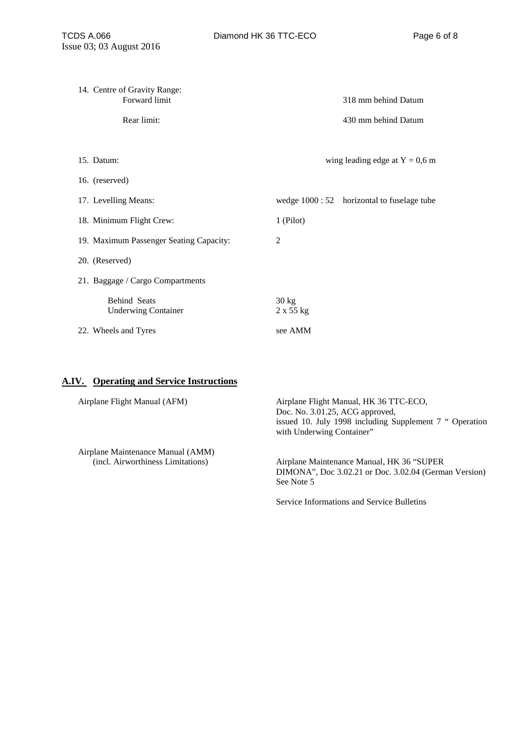| 14. Centre of Gravity Range:<br>Forward limit     | 318 mm behind Datum                         |  |  |
|---------------------------------------------------|---------------------------------------------|--|--|
| Rear limit:                                       | 430 mm behind Datum                         |  |  |
|                                                   |                                             |  |  |
| 15. Datum:<br>wing leading edge at $Y = 0.6$ m    |                                             |  |  |
| 16. (reserved)                                    |                                             |  |  |
| 17. Levelling Means:                              | wedge 1000 : 52 horizontal to fuselage tube |  |  |
| 18. Minimum Flight Crew:                          | $1$ (Pilot)                                 |  |  |
| 19. Maximum Passenger Seating Capacity:           | 2                                           |  |  |
| 20. (Reserved)                                    |                                             |  |  |
| 21. Baggage / Cargo Compartments                  |                                             |  |  |
| <b>Behind Seats</b><br><b>Underwing Container</b> | $30 \text{ kg}$<br>$2 \times 55$ kg         |  |  |
| 22. Wheels and Tyres                              | see AMM                                     |  |  |

### **A.IV. Operating and Service Instructions**

| Airplane Flight Manual (AFM)                                           | Airplane Flight Manual, HK 36 TTC-ECO,<br>Doc. No. 3.01.25, ACG approved,<br>issued 10. July 1998 including Supplement 7 " Operation<br>with Underwing Container" |
|------------------------------------------------------------------------|-------------------------------------------------------------------------------------------------------------------------------------------------------------------|
| Airplane Maintenance Manual (AMM)<br>(incl. Airworthiness Limitations) | Airplane Maintenance Manual, HK 36 "SUPER"<br>DIMONA", Doc 3.02.21 or Doc. 3.02.04 (German Version)<br>See Note 5                                                 |

Service Informations and Service Bulletins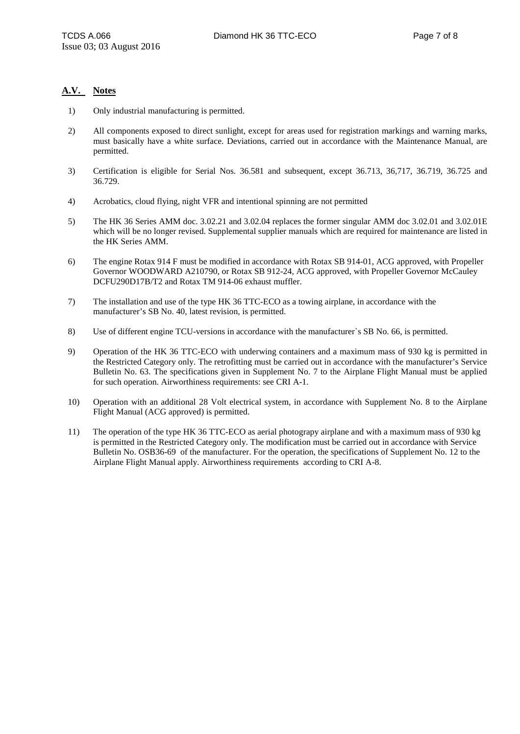#### **A.V. Notes**

- 1) Only industrial manufacturing is permitted.
- 2) All components exposed to direct sunlight, except for areas used for registration markings and warning marks, must basically have a white surface. Deviations, carried out in accordance with the Maintenance Manual, are permitted.
- 3) Certification is eligible for Serial Nos. 36.581 and subsequent, except 36.713, 36,717, 36.719, 36.725 and 36.729.
- 4) Acrobatics, cloud flying, night VFR and intentional spinning are not permitted
- 5) The HK 36 Series AMM doc. 3.02.21 and 3.02.04 replaces the former singular AMM doc 3.02.01 and 3.02.01E which will be no longer revised. Supplemental supplier manuals which are required for maintenance are listed in the HK Series AMM.
- 6) The engine Rotax 914 F must be modified in accordance with Rotax SB 914-01, ACG approved, with Propeller Governor WOODWARD A210790, or Rotax SB 912-24, ACG approved, with Propeller Governor McCauley DCFU290D17B/T2 and Rotax TM 914-06 exhaust muffler.
- 7) The installation and use of the type HK 36 TTC-ECO as a towing airplane, in accordance with the manufacturer's SB No. 40, latest revision, is permitted.
- 8) Use of different engine TCU-versions in accordance with the manufacturer`s SB No. 66, is permitted.
- 9) Operation of the HK 36 TTC-ECO with underwing containers and a maximum mass of 930 kg is permitted in the Restricted Category only. The retrofitting must be carried out in accordance with the manufacturer's Service Bulletin No. 63. The specifications given in Supplement No. 7 to the Airplane Flight Manual must be applied for such operation. Airworthiness requirements: see CRI A-1.
- 10) Operation with an additional 28 Volt electrical system, in accordance with Supplement No. 8 to the Airplane Flight Manual (ACG approved) is permitted.
- 11) The operation of the type HK 36 TTC-ECO as aerial photograpy airplane and with a maximum mass of 930 kg is permitted in the Restricted Category only. The modification must be carried out in accordance with Service Bulletin No. OSB36-69 of the manufacturer. For the operation, the specifications of Supplement No. 12 to the Airplane Flight Manual apply. Airworthiness requirements according to CRI A-8.